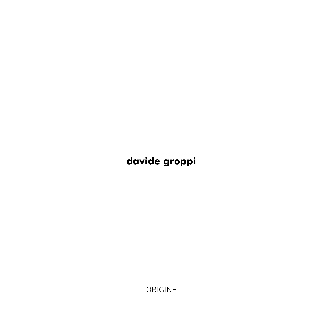davide groppi

ORIGINE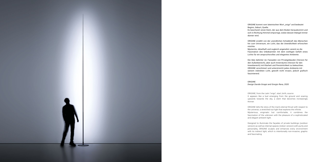

ORIGINE kommt vom lateinischen Wort "origo" und bedeutet Beginn, Geburt, Quelle.

Es beschwört einen Keim, der aus dem Boden herauskommt und sich in Richtung Himmel emporragt, wobei dessen Stängel immer dünner wird.

ORIGINE erzählt von der unendlichen Schubkraft des Menschen hin zum Universum, ein Licht, das die Unendlichkeit erforschen möchte.

Mysteriös, rätselhaft und zugleich angenehm vereint es die Faszination des Unbekannten mit dem wohligen Gefühl eines Lichts für ein anspruchsvolles und elegantes Ambiente.

Die Idee dahinter ist, Fassaden von Privatgebäuden (Version für den Außenbereich), aber auch Innenräume (Version für den Innenbereich) mit Klarheit und Persönlichkeit zu beleuchten. ORIGINE verschönert und unterstreicht jedes Ambiente mit seinem indirekten Licht, gewollt nicht invasiv, jedoch grafisch faszinierend.

ORIGINE *Design Davide Groppi and Giorgio Rava, 2020*

ORIGINE, from the Latin "origo", start, birth, source. It appears like a bud emerging from the ground and soaring upwards towards the sky, a stem that becomes increasingly thinner.

ORIGINE tells the story of the man's eternal thrust with respect to the universe, a stretched-out light that explores the infinite.

Mysterious, enigmatic but comfortable, it combines the fascination of the unknown with the pleasure of a sophisticated and elegant ambient light.

Designed to illuminate the façades of private buildings (outdoor version) as well as internal spaces (indoor version) with purity and personality, ORIGINE sculpts and enhances every environment with its indirect light, which is intentionally non-invasive, graphic and fascinating.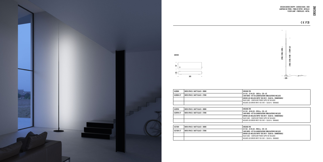| 1A20804    | NERO OPACO / MATT BLACK - 3000K | ORIGINE 290                 |
|------------|---------------------------------|-----------------------------|
| 1A20804-27 | NERO OPACO / MATT BLACK - 2700K | 24 V DC - 25<br>CAVO NERO - |
|            |                                 | DRIVER LED<br>BLACK CABLE - |
|            |                                 | INCLUDES LED                |

24 V DC - 25 W LED - 1600 lm - CRI>85 CAVO NERO - KIT DI ALIMENTAZIONE OBBLIGATORIO INCLUSO DRIVER LED INCLUSO INPUT 100-240 V - 50/60 Hz - DIMMERABILE BLACK CABLE - COMPULSORY POWER SUPPLY KIT INCLUDED INCLUDES LED DRIVER INPUT 100-240 V - 50/60 Hz - DIMMABLE

| 1A20904    | NERO OPACO / MATT BLACK - 3000K | ORIGINE 390                 |
|------------|---------------------------------|-----------------------------|
| 1A20904-27 | NERO OPACO / MATT BLACK - 2700K | 24 V DC - 30<br>CAVO NERO - |
|            |                                 | DRIVER LED<br>BLACK CABLE - |
|            |                                 | INCLUDES LED                |

24 V DC - 30 W LED - 2290 lm - CRI>85 CAVO NERO - KIT DI ALIMENTAZIONE OBBLIGATORIO INCLUSO DRIVER LED INCLUSO INPUT 100-240 V - 50/60 Hz - DIMMERABILE BLACK CABLE - COMPULSORY POWER SUPPLY KIT INCLUDED INCLUDES LED DRIVER INPUT 100-240 V - 50/60 Hz - DIMMABLE

| 1A21004    | NERO OPACO / MATT BLACK - 3000K | ORIGINE 490                 |
|------------|---------------------------------|-----------------------------|
| 1A21004-27 | NERO OPACO / MATT BLACK - 2700K | 24 V DC - 35<br>CAVO NERO - |
|            |                                 | DRIVER LED<br>BLACK CABLE - |
|            |                                 | <b>INCLUDES LED</b>         |

24 V DC - 35 W LED - 2900 lm - CRI>85 CAVO NERO - KIT DI ALIMENTAZIONE OBBLIGATORIO INCLUSO DRIVER LED INCLUSO INPUT 100-240 V - 50/60 Hz - DIMMERABILE LACK CABLE - COMPULSORY POWER SUPPLY KIT INCLUDED INCLUDES LED DRIVER INPUT 100-240 V - 50/60 Hz - DIMMABLE





## DRIVER

| 57                 |   |     |  |
|--------------------|---|-----|--|
|                    | O |     |  |
|                    |   |     |  |
| $\cdot$ 45 $\cdot$ |   |     |  |
|                    |   | 345 |  |
|                    |   |     |  |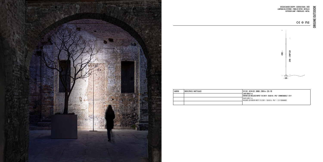DESIGN DAVIDE GROPPI - GIORGIO RAVA - 2020 LAMPADA DA ESTERNO - FIBRA DI VETRO - METALLO OUTDOOR LAMP - FIBERGLASS - METAL





| 1A08904 | NERO OPACO / MATT BLACK | 24 V DC - 40 W LED - 3000K - 2380 lm - CRI > 90<br>CAVO NERO 5 m<br>DRIVER LED INCLUSO INPUT 110-240 V - 50/60 H<br>BLACK CABLE 5 m<br>INCLUDES LED DRIVER INPUT 110-240 V - 50/60 Hz |
|---------|-------------------------|---------------------------------------------------------------------------------------------------------------------------------------------------------------------------------------|
|         |                         |                                                                                                                                                                                       |
|         |                         |                                                                                                                                                                                       |
|         |                         |                                                                                                                                                                                       |

CAVO NERO 5 m DRIVER LED INCLUSO INPUT 110-240 V - 50/60 Hz - IP67 - DIMMERABILE 1-10 V BLACK CABLE 5 m INCLUDES LED DRIVER INPUT 110-240 V - 50/60 Hz - IP67 - 1-10 V DIMMABLE

ORIGINE OUTDOOR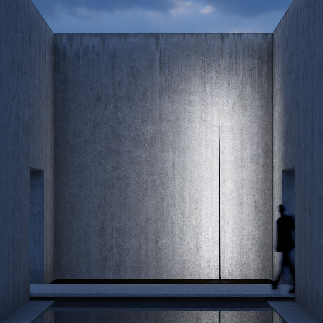